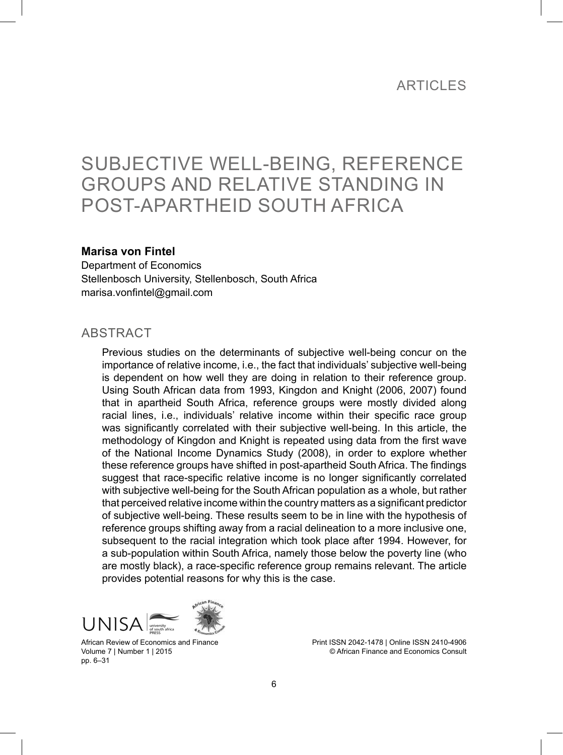### **ARTICLES**

# SUBJECTIVE WELL-BEING, REFERENCE GROUPS AND RELATIVE STANDING IN POST-APARTHEID SOUTH AFRICA

#### **Marisa von Fintel**

Department of Economics Stellenbosch University, Stellenbosch, South Africa marisa.vonfintel@gmail.com

#### **ABSTRACT**

Previous studies on the determinants of subjective well-being concur on the importance of relative income, i.e., the fact that individuals' subjective well-being is dependent on how well they are doing in relation to their reference group. Using South African data from 1993, Kingdon and Knight (2006, 2007) found that in apartheid South Africa, reference groups were mostly divided along racial lines, i.e., individuals' relative income within their specific race group was significantly correlated with their subjective well-being. In this article, the methodology of Kingdon and Knight is repeated using data from the first wave of the National Income Dynamics Study (2008), in order to explore whether these reference groups have shifted in post-apartheid South Africa. The findings suggest that race-specific relative income is no longer significantly correlated with subjective well-being for the South African population as a whole, but rather that perceived relative income within the country matters as a significant predictor of subjective well-being. These results seem to be in line with the hypothesis of reference groups shifting away from a racial delineation to a more inclusive one, subsequent to the racial integration which took place after 1994. However, for a sub-population within South Africa, namely those below the poverty line (who are mostly black), a race-specific reference group remains relevant. The article provides potential reasons for why this is the case.





African Review of Economics and Finance Volume 7 | Number 1 | 2015 pp. 6–31

Print ISSN 2042-1478 | Online ISSN 2410-4906 © African Finance and Economics Consult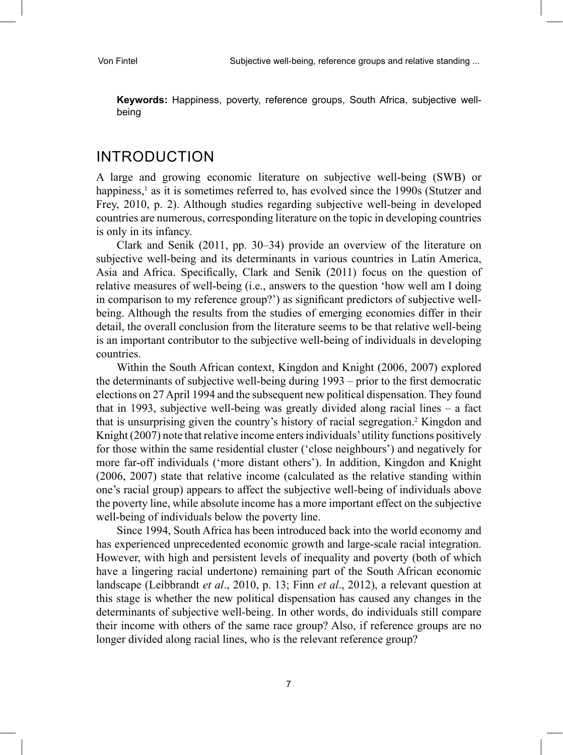**Keywords:** Happiness, poverty, reference groups, South Africa, subjective wellbeing

## INTRODUCTION

A large and growing economic literature on subjective well-being (SWB) or happiness,<sup>1</sup> as it is sometimes referred to, has evolved since the 1990s (Stutzer and Frey, 2010, p. 2). Although studies regarding subjective well-being in developed countries are numerous, corresponding literature on the topic in developing countries is only in its infancy.

Clark and Senik (2011, pp. 30–34) provide an overview of the literature on subjective well-being and its determinants in various countries in Latin America, Asia and Africa. Specifically, Clark and Senik (2011) focus on the question of relative measures of well-being (i.e., answers to the question 'how well am I doing in comparison to my reference group?') as significant predictors of subjective wellbeing. Although the results from the studies of emerging economies differ in their detail, the overall conclusion from the literature seems to be that relative well-being is an important contributor to the subjective well-being of individuals in developing countries.

Within the South African context, Kingdon and Knight (2006, 2007) explored the determinants of subjective well-being during 1993 – prior to the first democratic elections on 27 April 1994 and the subsequent new political dispensation. They found that in 1993, subjective well-being was greatly divided along racial lines – a fact that is unsurprising given the country's history of racial segregation.<sup>2</sup> Kingdon and Knight (2007) note that relative income enters individuals' utility functions positively for those within the same residential cluster ('close neighbours') and negatively for more far-off individuals ('more distant others'). In addition, Kingdon and Knight (2006, 2007) state that relative income (calculated as the relative standing within one's racial group) appears to affect the subjective well-being of individuals above the poverty line, while absolute income has a more important effect on the subjective well-being of individuals below the poverty line.

Since 1994, South Africa has been introduced back into the world economy and has experienced unprecedented economic growth and large-scale racial integration. However, with high and persistent levels of inequality and poverty (both of which have a lingering racial undertone) remaining part of the South African economic landscape (Leibbrandt *et al*., 2010, p. 13; Finn *et al*., 2012), a relevant question at this stage is whether the new political dispensation has caused any changes in the determinants of subjective well-being. In other words, do individuals still compare their income with others of the same race group? Also, if reference groups are no longer divided along racial lines, who is the relevant reference group?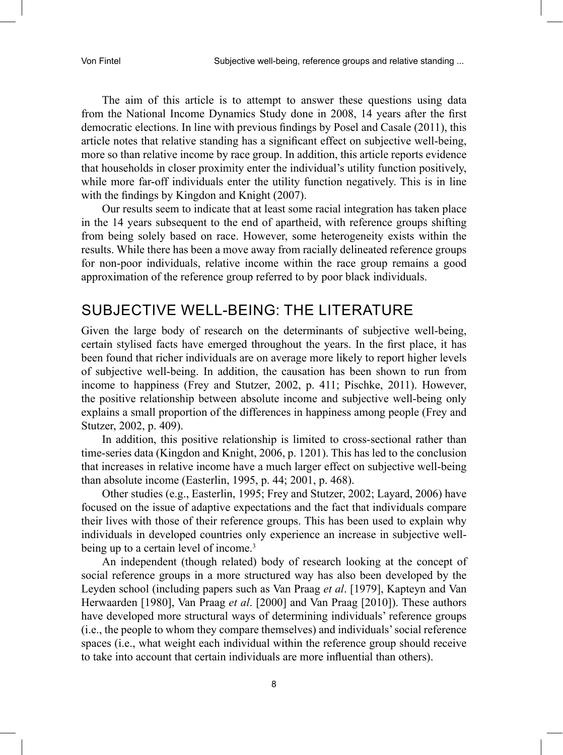The aim of this article is to attempt to answer these questions using data from the National Income Dynamics Study done in 2008, 14 years after the first democratic elections. In line with previous findings by Posel and Casale (2011), this article notes that relative standing has a significant effect on subjective well-being, more so than relative income by race group. In addition, this article reports evidence that households in closer proximity enter the individual's utility function positively, while more far-off individuals enter the utility function negatively. This is in line with the findings by Kingdon and Knight (2007).

Our results seem to indicate that at least some racial integration has taken place in the 14 years subsequent to the end of apartheid, with reference groups shifting from being solely based on race. However, some heterogeneity exists within the results. While there has been a move away from racially delineated reference groups for non-poor individuals, relative income within the race group remains a good approximation of the reference group referred to by poor black individuals.

# SUBJECTIVE WELL-BEING: THE LITERATURE

Given the large body of research on the determinants of subjective well-being, certain stylised facts have emerged throughout the years. In the first place, it has been found that richer individuals are on average more likely to report higher levels of subjective well-being. In addition, the causation has been shown to run from income to happiness (Frey and Stutzer, 2002, p. 411; Pischke, 2011). However, the positive relationship between absolute income and subjective well-being only explains a small proportion of the differences in happiness among people (Frey and Stutzer, 2002, p. 409).

In addition, this positive relationship is limited to cross-sectional rather than time-series data (Kingdon and Knight, 2006, p. 1201). This has led to the conclusion that increases in relative income have a much larger effect on subjective well-being than absolute income (Easterlin, 1995, p. 44; 2001, p. 468).

Other studies (e.g., Easterlin, 1995; Frey and Stutzer, 2002; Layard, 2006) have focused on the issue of adaptive expectations and the fact that individuals compare their lives with those of their reference groups. This has been used to explain why individuals in developed countries only experience an increase in subjective wellbeing up to a certain level of income.<sup>3</sup>

An independent (though related) body of research looking at the concept of social reference groups in a more structured way has also been developed by the Leyden school (including papers such as Van Praag *et al*. [1979], Kapteyn and Van Herwaarden [1980], Van Praag *et al*. [2000] and Van Praag [2010]). These authors have developed more structural ways of determining individuals' reference groups (i.e., the people to whom they compare themselves) and individuals' social reference spaces (i.e., what weight each individual within the reference group should receive to take into account that certain individuals are more influential than others).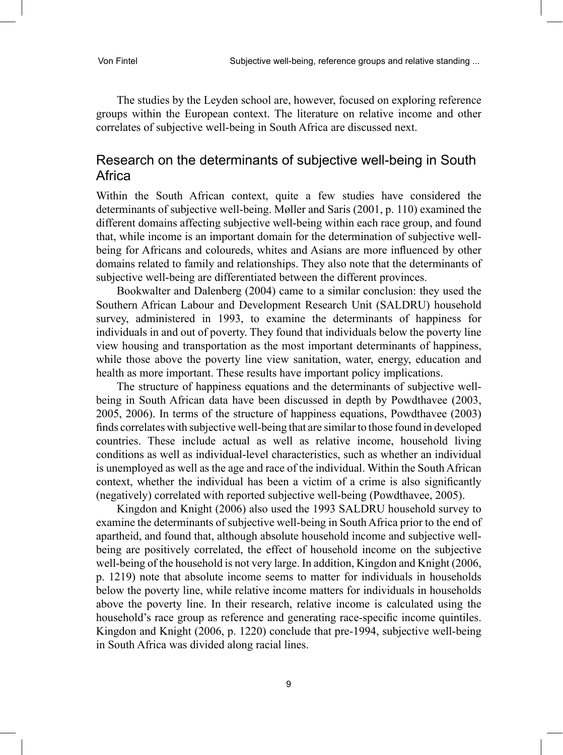The studies by the Leyden school are, however, focused on exploring reference groups within the European context. The literature on relative income and other correlates of subjective well-being in South Africa are discussed next.

#### Research on the determinants of subjective well-being in South Africa

Within the South African context, quite a few studies have considered the determinants of subjective well-being. Møller and Saris (2001, p. 110) examined the different domains affecting subjective well-being within each race group, and found that, while income is an important domain for the determination of subjective wellbeing for Africans and coloureds, whites and Asians are more influenced by other domains related to family and relationships. They also note that the determinants of subjective well-being are differentiated between the different provinces.

Bookwalter and Dalenberg (2004) came to a similar conclusion: they used the Southern African Labour and Development Research Unit (SALDRU) household survey, administered in 1993, to examine the determinants of happiness for individuals in and out of poverty. They found that individuals below the poverty line view housing and transportation as the most important determinants of happiness, while those above the poverty line view sanitation, water, energy, education and health as more important. These results have important policy implications.

The structure of happiness equations and the determinants of subjective wellbeing in South African data have been discussed in depth by Powdthavee (2003, 2005, 2006). In terms of the structure of happiness equations, Powdthavee (2003) finds correlates with subjective well-being that are similar to those found in developed countries. These include actual as well as relative income, household living conditions as well as individual-level characteristics, such as whether an individual is unemployed as well as the age and race of the individual. Within the South African context, whether the individual has been a victim of a crime is also significantly (negatively) correlated with reported subjective well-being (Powdthavee, 2005).

Kingdon and Knight (2006) also used the 1993 SALDRU household survey to examine the determinants of subjective well-being in South Africa prior to the end of apartheid, and found that, although absolute household income and subjective wellbeing are positively correlated, the effect of household income on the subjective well-being of the household is not very large. In addition, Kingdon and Knight (2006, p. 1219) note that absolute income seems to matter for individuals in households below the poverty line, while relative income matters for individuals in households above the poverty line. In their research, relative income is calculated using the household's race group as reference and generating race-specific income quintiles. Kingdon and Knight (2006, p. 1220) conclude that pre-1994, subjective well-being in South Africa was divided along racial lines.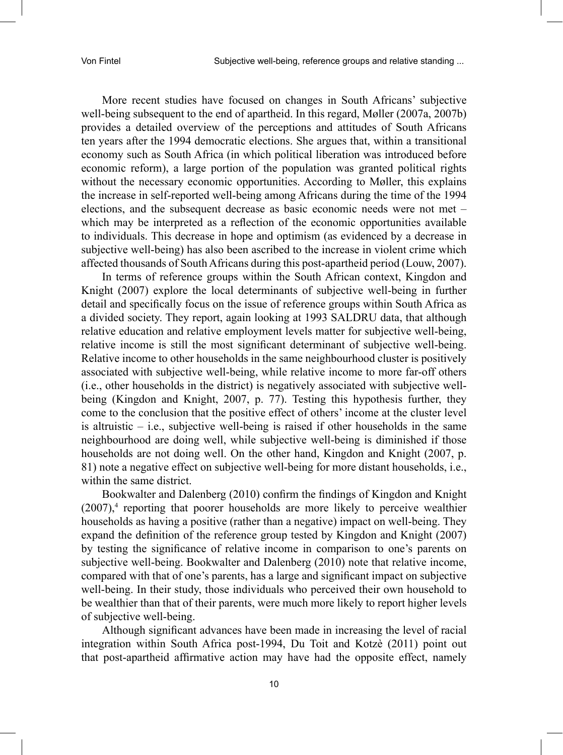More recent studies have focused on changes in South Africans' subjective well-being subsequent to the end of apartheid. In this regard, Møller (2007a, 2007b) provides a detailed overview of the perceptions and attitudes of South Africans ten years after the 1994 democratic elections. She argues that, within a transitional economy such as South Africa (in which political liberation was introduced before economic reform), a large portion of the population was granted political rights without the necessary economic opportunities. According to Møller, this explains the increase in self-reported well-being among Africans during the time of the 1994 elections, and the subsequent decrease as basic economic needs were not met – which may be interpreted as a reflection of the economic opportunities available to individuals. This decrease in hope and optimism (as evidenced by a decrease in subjective well-being) has also been ascribed to the increase in violent crime which affected thousands of South Africans during this post-apartheid period (Louw, 2007).

In terms of reference groups within the South African context, Kingdon and Knight (2007) explore the local determinants of subjective well-being in further detail and specifically focus on the issue of reference groups within South Africa as a divided society. They report, again looking at 1993 SALDRU data, that although relative education and relative employment levels matter for subjective well-being, relative income is still the most significant determinant of subjective well-being. Relative income to other households in the same neighbourhood cluster is positively associated with subjective well-being, while relative income to more far-off others (i.e., other households in the district) is negatively associated with subjective wellbeing (Kingdon and Knight, 2007, p. 77). Testing this hypothesis further, they come to the conclusion that the positive effect of others' income at the cluster level is altruistic  $-$  i.e., subjective well-being is raised if other households in the same neighbourhood are doing well, while subjective well-being is diminished if those households are not doing well. On the other hand, Kingdon and Knight (2007, p. 81) note a negative effect on subjective well-being for more distant households, i.e., within the same district.

Bookwalter and Dalenberg (2010) confirm the findings of Kingdon and Knight  $(2007)$ ,<sup>4</sup> reporting that poorer households are more likely to perceive wealthier households as having a positive (rather than a negative) impact on well-being. They expand the definition of the reference group tested by Kingdon and Knight (2007) by testing the significance of relative income in comparison to one's parents on subjective well-being. Bookwalter and Dalenberg (2010) note that relative income, compared with that of one's parents, has a large and significant impact on subjective well-being. In their study, those individuals who perceived their own household to be wealthier than that of their parents, were much more likely to report higher levels of subjective well-being.

Although significant advances have been made in increasing the level of racial integration within South Africa post-1994, Du Toit and Kotzè (2011) point out that post-apartheid affirmative action may have had the opposite effect, namely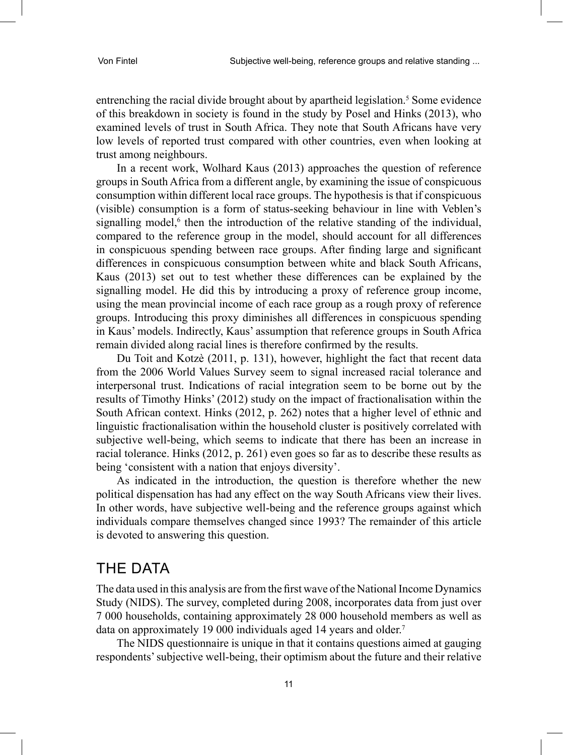entrenching the racial divide brought about by apartheid legislation.<sup>5</sup> Some evidence of this breakdown in society is found in the study by Posel and Hinks (2013), who examined levels of trust in South Africa. They note that South Africans have very low levels of reported trust compared with other countries, even when looking at trust among neighbours.

In a recent work, Wolhard Kaus (2013) approaches the question of reference groups in South Africa from a different angle, by examining the issue of conspicuous consumption within different local race groups. The hypothesis is that if conspicuous (visible) consumption is a form of status-seeking behaviour in line with Veblen's signalling model,<sup>6</sup> then the introduction of the relative standing of the individual, compared to the reference group in the model, should account for all differences in conspicuous spending between race groups. After finding large and significant differences in conspicuous consumption between white and black South Africans, Kaus (2013) set out to test whether these differences can be explained by the signalling model. He did this by introducing a proxy of reference group income, using the mean provincial income of each race group as a rough proxy of reference groups. Introducing this proxy diminishes all differences in conspicuous spending in Kaus' models. Indirectly, Kaus' assumption that reference groups in South Africa remain divided along racial lines is therefore confirmed by the results.

Du Toit and Kotzè (2011, p. 131), however, highlight the fact that recent data from the 2006 World Values Survey seem to signal increased racial tolerance and interpersonal trust. Indications of racial integration seem to be borne out by the results of Timothy Hinks' (2012) study on the impact of fractionalisation within the South African context. Hinks (2012, p. 262) notes that a higher level of ethnic and linguistic fractionalisation within the household cluster is positively correlated with subjective well-being, which seems to indicate that there has been an increase in racial tolerance. Hinks (2012, p. 261) even goes so far as to describe these results as being 'consistent with a nation that enjoys diversity'.

As indicated in the introduction, the question is therefore whether the new political dispensation has had any effect on the way South Africans view their lives. In other words, have subjective well-being and the reference groups against which individuals compare themselves changed since 1993? The remainder of this article is devoted to answering this question.

# THE DATA

The data used in this analysis are from the first wave of the National Income Dynamics Study (NIDS). The survey, completed during 2008, incorporates data from just over 7 000 households, containing approximately 28 000 household members as well as data on approximately 19 000 individuals aged 14 years and older.<sup>7</sup>

The NIDS questionnaire is unique in that it contains questions aimed at gauging respondents' subjective well-being, their optimism about the future and their relative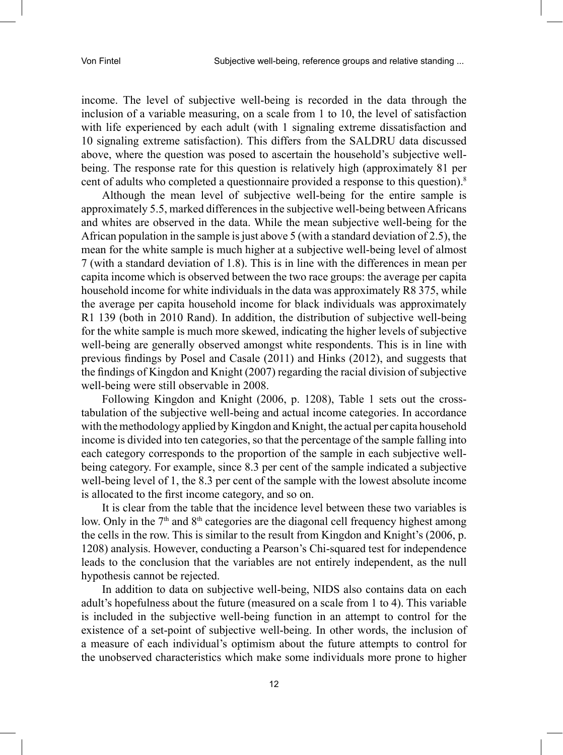income. The level of subjective well-being is recorded in the data through the inclusion of a variable measuring, on a scale from 1 to 10, the level of satisfaction with life experienced by each adult (with 1 signaling extreme dissatisfaction and 10 signaling extreme satisfaction). This differs from the SALDRU data discussed above, where the question was posed to ascertain the household's subjective wellbeing. The response rate for this question is relatively high (approximately 81 per cent of adults who completed a questionnaire provided a response to this question).8

Although the mean level of subjective well-being for the entire sample is approximately 5.5, marked differences in the subjective well-being between Africans and whites are observed in the data. While the mean subjective well-being for the African population in the sample is just above 5 (with a standard deviation of 2.5), the mean for the white sample is much higher at a subjective well-being level of almost 7 (with a standard deviation of 1.8). This is in line with the differences in mean per capita income which is observed between the two race groups: the average per capita household income for white individuals in the data was approximately R8 375, while the average per capita household income for black individuals was approximately R1 139 (both in 2010 Rand). In addition, the distribution of subjective well-being for the white sample is much more skewed, indicating the higher levels of subjective well-being are generally observed amongst white respondents. This is in line with previous findings by Posel and Casale (2011) and Hinks (2012), and suggests that the findings of Kingdon and Knight (2007) regarding the racial division of subjective well-being were still observable in 2008.

Following Kingdon and Knight (2006, p. 1208), Table 1 sets out the crosstabulation of the subjective well-being and actual income categories. In accordance with the methodology applied by Kingdon and Knight, the actual per capita household income is divided into ten categories, so that the percentage of the sample falling into each category corresponds to the proportion of the sample in each subjective wellbeing category. For example, since 8.3 per cent of the sample indicated a subjective well-being level of 1, the 8.3 per cent of the sample with the lowest absolute income is allocated to the first income category, and so on.

It is clear from the table that the incidence level between these two variables is low. Only in the  $7<sup>th</sup>$  and  $8<sup>th</sup>$  categories are the diagonal cell frequency highest among the cells in the row. This is similar to the result from Kingdon and Knight's (2006, p. 1208) analysis. However, conducting a Pearson's Chi-squared test for independence leads to the conclusion that the variables are not entirely independent, as the null hypothesis cannot be rejected.

In addition to data on subjective well-being, NIDS also contains data on each adult's hopefulness about the future (measured on a scale from 1 to 4). This variable is included in the subjective well-being function in an attempt to control for the existence of a set-point of subjective well-being. In other words, the inclusion of a measure of each individual's optimism about the future attempts to control for the unobserved characteristics which make some individuals more prone to higher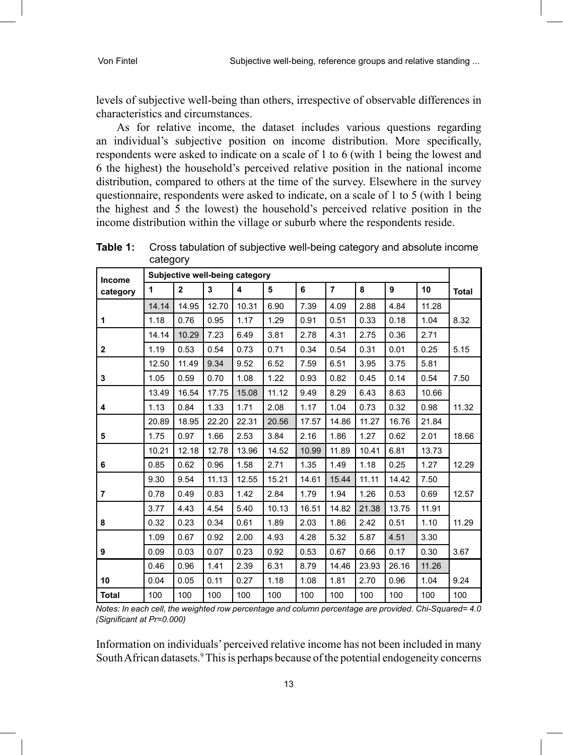levels of subjective well-being than others, irrespective of observable differences in characteristics and circumstances.

As for relative income, the dataset includes various questions regarding an individual's subjective position on income distribution. More specifically, respondents were asked to indicate on a scale of 1 to 6 (with 1 being the lowest and 6 the highest) the household's perceived relative position in the national income distribution, compared to others at the time of the survey. Elsewhere in the survey questionnaire, respondents were asked to indicate, on a scale of 1 to 5 (with 1 being the highest and 5 the lowest) the household's perceived relative position in the income distribution within the village or suburb where the respondents reside.

| Income       | Subjective well-being category |                |       |       |       |       |       |       |       |       |              |
|--------------|--------------------------------|----------------|-------|-------|-------|-------|-------|-------|-------|-------|--------------|
| category     | $\blacktriangleleft$           | $\overline{2}$ | 3     | 4     | 5     | 6     | 7     | 8     | 9     | 10    | <b>Total</b> |
|              | 14.14                          | 14.95          | 12.70 | 10.31 | 6.90  | 7.39  | 4.09  | 2.88  | 4.84  | 11.28 |              |
| 1            | 1.18                           | 0.76           | 0.95  | 1.17  | 1.29  | 0.91  | 0.51  | 0.33  | 0.18  | 1.04  | 8.32         |
|              | 14.14                          | 10.29          | 7.23  | 6.49  | 3.81  | 2.78  | 4.31  | 2.75  | 0.36  | 2.71  |              |
| $\mathbf{2}$ | 1.19                           | 0.53           | 0.54  | 0.73  | 0.71  | 0.34  | 0.54  | 0.31  | 0.01  | 0.25  | 5.15         |
|              | 12.50                          | 11.49          | 9.34  | 9.52  | 6.52  | 7.59  | 6.51  | 3.95  | 3.75  | 5.81  |              |
| 3            | 1.05                           | 0.59           | 0.70  | 1.08  | 1.22  | 0.93  | 0.82  | 0.45  | 0.14  | 0.54  | 7.50         |
|              | 13.49                          | 16.54          | 17.75 | 15.08 | 11.12 | 9.49  | 8.29  | 6.43  | 8.63  | 10.66 |              |
| 4            | 1.13                           | 0.84           | 1.33  | 1.71  | 2.08  | 1.17  | 1.04  | 0.73  | 0.32  | 0.98  | 11.32        |
|              | 20.89                          | 18.95          | 22.20 | 22.31 | 20.56 | 17.57 | 14.86 | 11.27 | 16.76 | 21.84 |              |
| 5            | 1.75                           | 0.97           | 1.66  | 2.53  | 3.84  | 2.16  | 1.86  | 1.27  | 0.62  | 2.01  | 18.66        |
|              | 10.21                          | 12.18          | 12.78 | 13.96 | 14.52 | 10.99 | 11.89 | 10.41 | 6.81  | 13.73 |              |
| 6            | 0.85                           | 0.62           | 0.96  | 1.58  | 2.71  | 1.35  | 1.49  | 1.18  | 0.25  | 1.27  | 12.29        |
|              | 9.30                           | 9.54           | 11.13 | 12.55 | 15.21 | 14.61 | 15.44 | 11.11 | 14.42 | 7.50  |              |
| 7            | 0.78                           | 0.49           | 0.83  | 1.42  | 2.84  | 1.79  | 1.94  | 1.26  | 0.53  | 0.69  | 12.57        |
|              | 3.77                           | 4.43           | 4.54  | 5.40  | 10.13 | 16.51 | 14.82 | 21.38 | 13.75 | 11.91 |              |
| 8            | 0.32                           | 0.23           | 0.34  | 0.61  | 1.89  | 2.03  | 1.86  | 2.42  | 0.51  | 1.10  | 11.29        |
|              | 1.09                           | 0.67           | 0.92  | 2.00  | 4.93  | 4.28  | 5.32  | 5.87  | 4.51  | 3.30  |              |
| 9            | 0.09                           | 0.03           | 0.07  | 0.23  | 0.92  | 0.53  | 0.67  | 0.66  | 0.17  | 0.30  | 3.67         |
|              | 0.46                           | 0.96           | 1.41  | 2.39  | 6.31  | 8.79  | 14.46 | 23.93 | 26.16 | 11.26 |              |
| 10           | 0.04                           | 0.05           | 0.11  | 0.27  | 1.18  | 1.08  | 1.81  | 2.70  | 0.96  | 1.04  | 9.24         |
| <b>Total</b> | 100                            | 100            | 100   | 100   | 100   | 100   | 100   | 100   | 100   | 100   | 100          |

**Table 1:** Cross tabulation of subjective well-being category and absolute income category

*Notes: In each cell, the weighted row percentage and column percentage are provided. Chi-Squared= 4.0 (Significant at Pr=0.000)*

Information on individuals' perceived relative income has not been included in many South African datasets.<sup>9</sup> This is perhaps because of the potential endogeneity concerns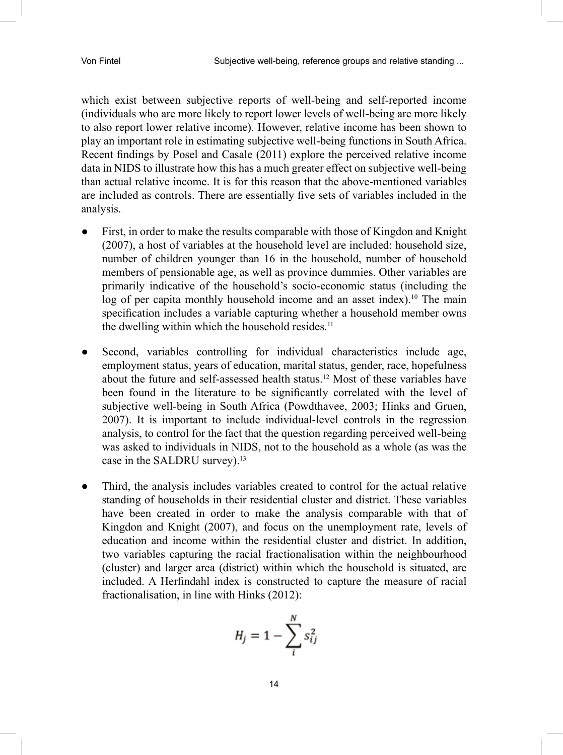which exist between subjective reports of well-being and self-reported income (individuals who are more likely to report lower levels of well-being are more likely to also report lower relative income). However, relative income has been shown to play an important role in estimating subjective well-being functions in South Africa. Recent findings by Posel and Casale (2011) explore the perceived relative income data in NIDS to illustrate how this has a much greater effect on subjective well-being than actual relative income. It is for this reason that the above-mentioned variables are included as controls. There are essentially five sets of variables included in the analysis.

- First, in order to make the results comparable with those of Kingdon and Knight (2007), a host of variables at the household level are included: household size, number of children younger than 16 in the household, number of household members of pensionable age, as well as province dummies. Other variables are primarily indicative of the household's socio-economic status (including the log of per capita monthly household income and an asset index).<sup>10</sup> The main specification includes a variable capturing whether a household member owns the dwelling within which the household resides. $11$
- Second, variables controlling for individual characteristics include age, employment status, years of education, marital status, gender, race, hopefulness about the future and self-assessed health status.12 Most of these variables have been found in the literature to be significantly correlated with the level of subjective well-being in South Africa (Powdthavee, 2003; Hinks and Gruen, 2007). It is important to include individual-level controls in the regression analysis, to control for the fact that the question regarding perceived well-being was asked to individuals in NIDS, not to the household as a whole (as was the case in the SALDRU survey).13
- Third, the analysis includes variables created to control for the actual relative standing of households in their residential cluster and district. These variables have been created in order to make the analysis comparable with that of Kingdon and Knight (2007), and focus on the unemployment rate, levels of education and income within the residential cluster and district. In addition, two variables capturing the racial fractionalisation within the neighbourhood (cluster) and larger area (district) within which the household is situated, are included. A Herfindahl index is constructed to capture the measure of racial fractionalisation, in line with Hinks (2012):

$$
H_j = 1 - \sum_{i}^{N} s_{ij}^2
$$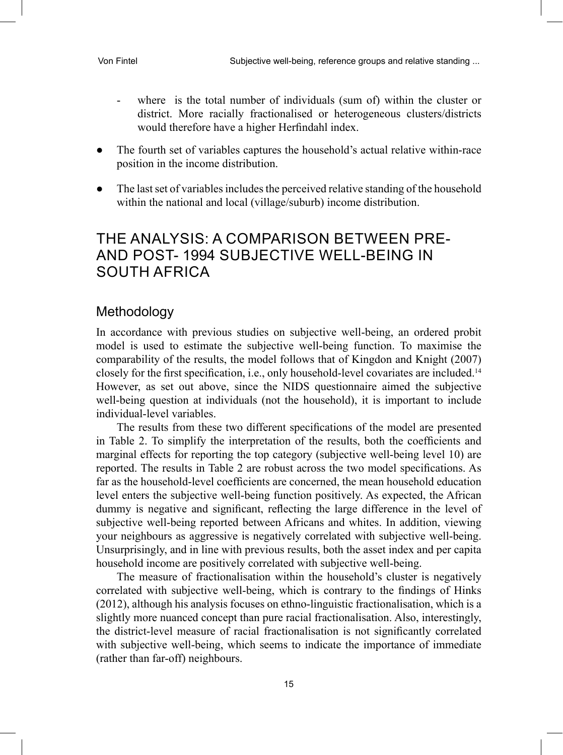- where is the total number of individuals (sum of) within the cluster or district. More racially fractionalised or heterogeneous clusters/districts would therefore have a higher Herfindahl index.
- The fourth set of variables captures the household's actual relative within-race position in the income distribution.
- The last set of variables includes the perceived relative standing of the household within the national and local (village/suburb) income distribution.

### THE ANALYSIS: A COMPARISON BETWEEN PRE-AND POST- 1994 SUBJECTIVE WELL-BEING IN SOUTH AFRICA

#### Methodology

In accordance with previous studies on subjective well-being, an ordered probit model is used to estimate the subjective well-being function. To maximise the comparability of the results, the model follows that of Kingdon and Knight (2007) closely for the first specification, i.e., only household-level covariates are included.<sup>14</sup> However, as set out above, since the NIDS questionnaire aimed the subjective well-being question at individuals (not the household), it is important to include individual-level variables.

The results from these two different specifications of the model are presented in Table 2. To simplify the interpretation of the results, both the coefficients and marginal effects for reporting the top category (subjective well-being level 10) are reported. The results in Table 2 are robust across the two model specifications. As far as the household-level coefficients are concerned, the mean household education level enters the subjective well-being function positively. As expected, the African dummy is negative and significant, reflecting the large difference in the level of subjective well-being reported between Africans and whites. In addition, viewing your neighbours as aggressive is negatively correlated with subjective well-being. Unsurprisingly, and in line with previous results, both the asset index and per capita household income are positively correlated with subjective well-being.

The measure of fractionalisation within the household's cluster is negatively correlated with subjective well-being, which is contrary to the findings of Hinks (2012), although his analysis focuses on ethno-linguistic fractionalisation, which is a slightly more nuanced concept than pure racial fractionalisation. Also, interestingly, the district-level measure of racial fractionalisation is not significantly correlated with subjective well-being, which seems to indicate the importance of immediate (rather than far-off) neighbours.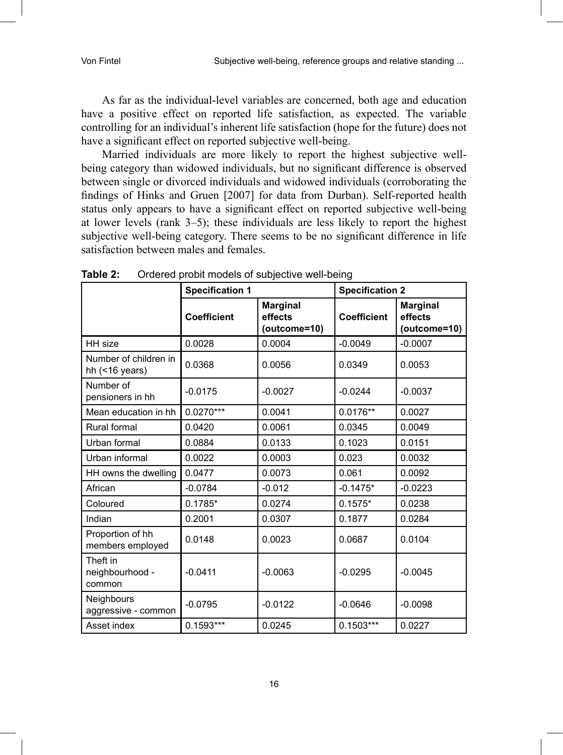As far as the individual-level variables are concerned, both age and education have a positive effect on reported life satisfaction, as expected. The variable controlling for an individual's inherent life satisfaction (hope for the future) does not have a significant effect on reported subjective well-being.

Married individuals are more likely to report the highest subjective wellbeing category than widowed individuals, but no significant difference is observed between single or divorced individuals and widowed individuals (corroborating the findings of Hinks and Gruen [2007] for data from Durban). Self-reported health status only appears to have a significant effect on reported subjective well-being at lower levels (rank 3–5); these individuals are less likely to report the highest subjective well-being category. There seems to be no significant difference in life satisfaction between males and females.

|                                             | <b>Specification 1</b> |                                            | <b>Specification 2</b> |                                            |  |
|---------------------------------------------|------------------------|--------------------------------------------|------------------------|--------------------------------------------|--|
|                                             | <b>Coefficient</b>     | <b>Marginal</b><br>effects<br>(outcome=10) | <b>Coefficient</b>     | <b>Marginal</b><br>effects<br>(outcome=10) |  |
| HH size                                     | 0.0028                 | 0.0004                                     | $-0.0049$              | $-0.0007$                                  |  |
| Number of children in<br>hh $($ < 16 years) | 0.0368                 | 0.0056                                     | 0.0349                 | 0.0053                                     |  |
| Number of<br>pensioners in hh               | $-0.0175$              | $-0.0027$                                  | $-0.0244$              | $-0.0037$                                  |  |
| Mean education in hh                        | $0.0270***$            | 0.0041                                     | $0.0176**$             | 0.0027                                     |  |
| Rural formal                                | 0.0420                 | 0.0061                                     | 0.0345                 | 0.0049                                     |  |
| Urban formal                                | 0.0884                 | 0.0133                                     | 0.1023                 | 0.0151                                     |  |
| Urban informal                              | 0.0022                 | 0.0003                                     | 0.023                  | 0.0032                                     |  |
| HH owns the dwelling                        | 0.0477                 | 0.0073                                     | 0.061                  | 0.0092                                     |  |
| African                                     | $-0.0784$              | $-0.012$                                   | $-0.1475*$             | $-0.0223$                                  |  |
| Coloured                                    | $0.1785*$              | 0.0274                                     | $0.1575*$              | 0.0238                                     |  |
| Indian                                      | 0.2001                 | 0.0307                                     | 0.1877                 | 0.0284                                     |  |
| Proportion of hh<br>members employed        | 0.0148                 | 0.0023                                     | 0.0687                 | 0.0104                                     |  |
| Theft in<br>neighbourhood -<br>common       | $-0.0411$              | $-0.0063$                                  | $-0.0295$              | $-0.0045$                                  |  |
| <b>Neighbours</b><br>aggressive - common    | $-0.0795$              | $-0.0122$                                  | $-0.0646$              | $-0.0098$                                  |  |
| Asset index                                 | $0.1593***$            | 0.0245                                     | $0.1503***$            | 0.0227                                     |  |

**Table 2:** Ordered probit models of subjective well-being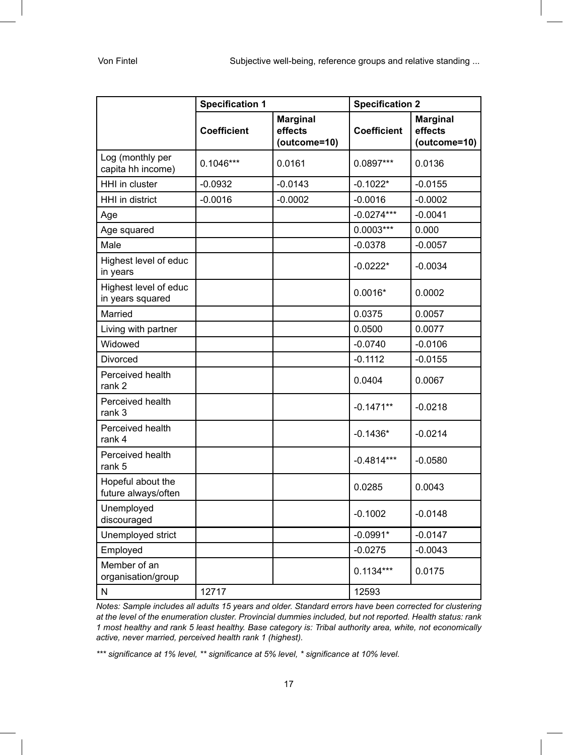|                                           | <b>Specification 1</b> |                                            | <b>Specification 2</b> |                                            |  |
|-------------------------------------------|------------------------|--------------------------------------------|------------------------|--------------------------------------------|--|
|                                           | <b>Coefficient</b>     | <b>Marginal</b><br>effects<br>(outcome=10) | <b>Coefficient</b>     | <b>Marginal</b><br>effects<br>(outcome=10) |  |
| Log (monthly per<br>capita hh income)     | $0.1046***$            | 0.0161                                     | 0.0897***              | 0.0136                                     |  |
| HHI in cluster                            | $-0.0932$              | $-0.0143$                                  | $-0.1022*$             | $-0.0155$                                  |  |
| HHI in district                           | $-0.0016$              | $-0.0002$                                  | $-0.0016$              | $-0.0002$                                  |  |
| Age                                       |                        |                                            | $-0.0274***$           | $-0.0041$                                  |  |
| Age squared                               |                        |                                            | $0.0003***$            | 0.000                                      |  |
| Male                                      |                        |                                            | $-0.0378$              | $-0.0057$                                  |  |
| Highest level of educ<br>in years         |                        |                                            | $-0.0222*$             | $-0.0034$                                  |  |
| Highest level of educ<br>in years squared |                        |                                            | $0.0016*$              | 0.0002                                     |  |
| Married                                   |                        |                                            | 0.0375                 | 0.0057                                     |  |
| Living with partner                       |                        |                                            | 0.0500                 | 0.0077                                     |  |
| Widowed                                   |                        |                                            | $-0.0740$              | $-0.0106$                                  |  |
| Divorced                                  |                        |                                            | $-0.1112$              | $-0.0155$                                  |  |
| Perceived health<br>rank <sub>2</sub>     |                        |                                            | 0.0404                 | 0.0067                                     |  |
| Perceived health<br>rank 3                |                        |                                            | $-0.1471**$            | $-0.0218$                                  |  |
| Perceived health<br>rank 4                |                        |                                            | $-0.1436*$             | $-0.0214$                                  |  |
| Perceived health<br>rank 5                |                        |                                            | $-0.4814***$           | $-0.0580$                                  |  |
| Hopeful about the<br>future always/often  |                        |                                            | 0.0285                 | 0.0043                                     |  |
| Unemployed<br>discouraged                 |                        |                                            | $-0.1002$              | $-0.0148$                                  |  |
| Unemployed strict                         |                        |                                            | $-0.0991*$             | $-0.0147$                                  |  |
| Employed                                  |                        |                                            | $-0.0275$              | $-0.0043$                                  |  |
| Member of an<br>organisation/group        |                        |                                            | $0.1134***$            | 0.0175                                     |  |
| N                                         | 12717                  |                                            | 12593                  |                                            |  |

*Notes: Sample includes all adults 15 years and older. Standard errors have been corrected for clustering at the level of the enumeration cluster. Provincial dummies included, but not reported. Health status: rank 1 most healthy and rank 5 least healthy. Base category is: Tribal authority area, white, not economically active, never married, perceived health rank 1 (highest).* 

*\*\*\* significance at 1% level, \*\* significance at 5% level, \* significance at 10% level.*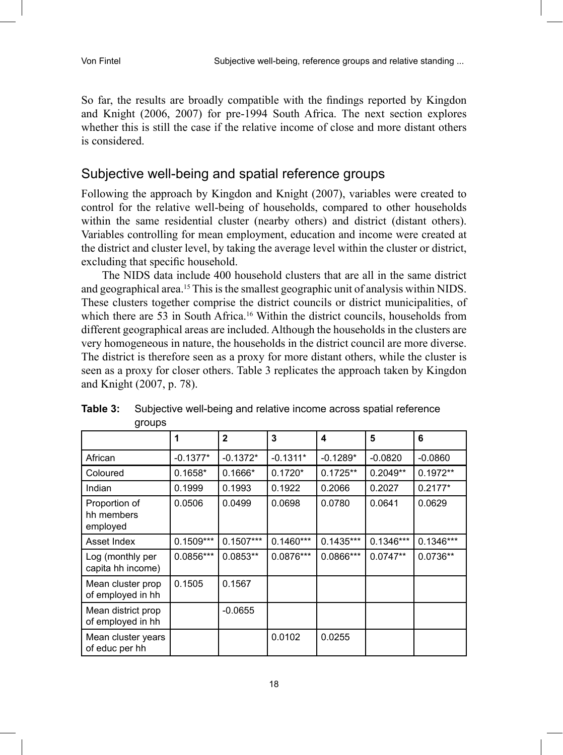So far, the results are broadly compatible with the findings reported by Kingdon and Knight (2006, 2007) for pre-1994 South Africa. The next section explores whether this is still the case if the relative income of close and more distant others is considered.

#### Subjective well-being and spatial reference groups

Following the approach by Kingdon and Knight (2007), variables were created to control for the relative well-being of households, compared to other households within the same residential cluster (nearby others) and district (distant others). Variables controlling for mean employment, education and income were created at the district and cluster level, by taking the average level within the cluster or district, excluding that specific household.

The NIDS data include 400 household clusters that are all in the same district and geographical area.15 This is the smallest geographic unit of analysis within NIDS. These clusters together comprise the district councils or district municipalities, of which there are 53 in South Africa.<sup>16</sup> Within the district councils, households from different geographical areas are included. Although the households in the clusters are very homogeneous in nature, the households in the district council are more diverse. The district is therefore seen as a proxy for more distant others, while the cluster is seen as a proxy for closer others. Table 3 replicates the approach taken by Kingdon and Knight (2007, p. 78).

|                                         | 1           | $\mathbf{2}$ | 3           | 4           | 5           | 6           |
|-----------------------------------------|-------------|--------------|-------------|-------------|-------------|-------------|
| African                                 | $-0.1377*$  | $-0.1372*$   | $-0.1311*$  | $-0.1289*$  | $-0.0820$   | $-0.0860$   |
| Coloured                                | $0.1658*$   | $0.1666*$    | $0.1720*$   | $0.1725**$  | $0.2049**$  | $0.1972**$  |
| Indian                                  | 0.1999      | 0.1993       | 0.1922      | 0.2066      | 0.2027      | $0.2177*$   |
| Proportion of<br>hh members<br>employed | 0.0506      | 0.0499       | 0.0698      | 0.0780      | 0.0641      | 0.0629      |
| Asset Index                             | $0.1509***$ | $0.1507***$  | $0.1460***$ | $0.1435***$ | $0.1346***$ | $0.1346***$ |
| Log (monthly per<br>capita hh income)   | 0.0856***   | $0.0853**$   | 0.0876***   | 0.0866***   | $0.0747**$  | $0.0736**$  |
| Mean cluster prop<br>of employed in hh  | 0.1505      | 0.1567       |             |             |             |             |
| Mean district prop<br>of employed in hh |             | $-0.0655$    |             |             |             |             |
| Mean cluster years<br>of educ per hh    |             |              | 0.0102      | 0.0255      |             |             |

**Table 3:** Subjective well-being and relative income across spatial reference groups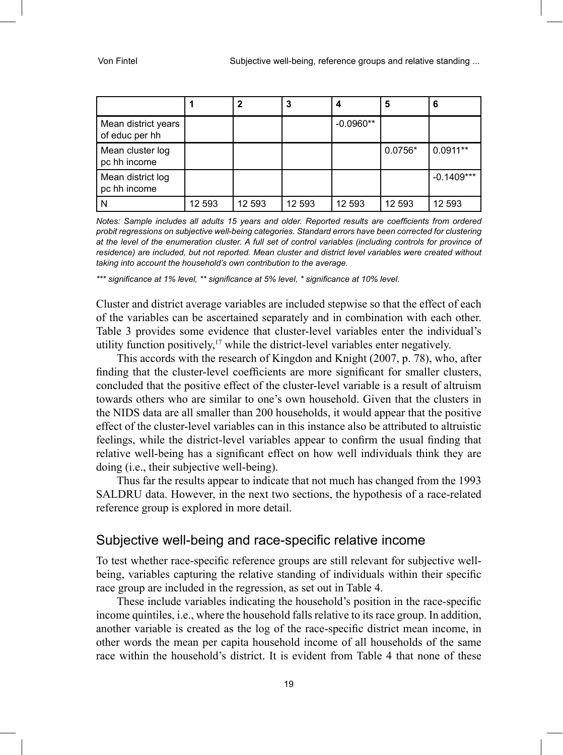|                                       |        |        | 3      |             | 5         | 6            |
|---------------------------------------|--------|--------|--------|-------------|-----------|--------------|
| Mean district years<br>of educ per hh |        |        |        | $-0.0960**$ |           |              |
| Mean cluster log<br>pc hh income      |        |        |        |             | $0.0756*$ | $0.0911**$   |
| Mean district log<br>pc hh income     |        |        |        |             |           | $-0.1409***$ |
|                                       | 12 593 | 12 593 | 12 593 | 12 593      | 12 593    | 12 593       |

*Notes: Sample includes all adults 15 years and older. Reported results are coefficients from ordered probit regressions on subjective well-being categories. Standard errors have been corrected for clustering at the level of the enumeration cluster. A full set of control variables (including controls for province of residence) are included, but not reported. Mean cluster and district level variables were created without taking into account the household's own contribution to the average.* 

*\*\*\* significance at 1% level, \*\* significance at 5% level, \* significance at 10% level.*

Cluster and district average variables are included stepwise so that the effect of each of the variables can be ascertained separately and in combination with each other. Table 3 provides some evidence that cluster-level variables enter the individual's utility function positively, $17$  while the district-level variables enter negatively.

This accords with the research of Kingdon and Knight (2007, p. 78), who, after finding that the cluster-level coefficients are more significant for smaller clusters, concluded that the positive effect of the cluster-level variable is a result of altruism towards others who are similar to one's own household. Given that the clusters in the NIDS data are all smaller than 200 households, it would appear that the positive effect of the cluster-level variables can in this instance also be attributed to altruistic feelings, while the district-level variables appear to confirm the usual finding that relative well-being has a significant effect on how well individuals think they are doing (i.e., their subjective well-being).

Thus far the results appear to indicate that not much has changed from the 1993 SALDRU data. However, in the next two sections, the hypothesis of a race-related reference group is explored in more detail.

#### Subjective well-being and race-specific relative income

To test whether race-specific reference groups are still relevant for subjective wellbeing, variables capturing the relative standing of individuals within their specific race group are included in the regression, as set out in Table 4.

These include variables indicating the household's position in the race-specific income quintiles, i.e., where the household falls relative to its race group. In addition, another variable is created as the log of the race-specific district mean income, in other words the mean per capita household income of all households of the same race within the household's district. It is evident from Table 4 that none of these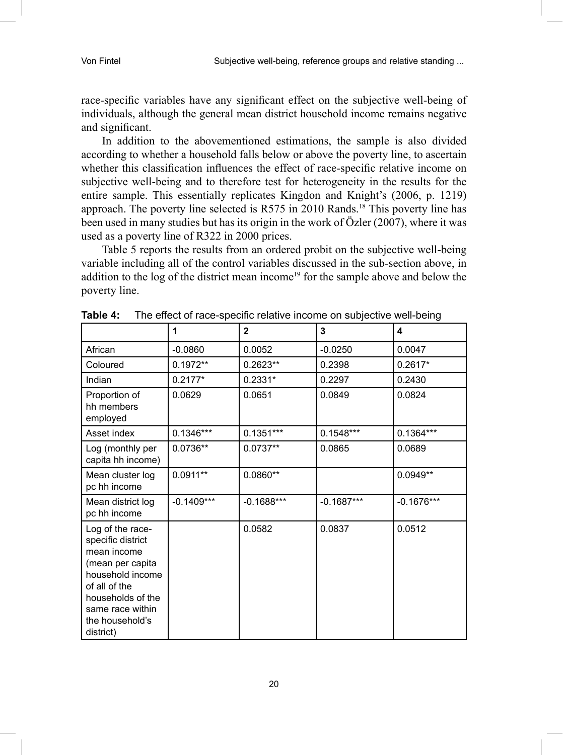race-specific variables have any significant effect on the subjective well-being of individuals, although the general mean district household income remains negative and significant.

In addition to the abovementioned estimations, the sample is also divided according to whether a household falls below or above the poverty line, to ascertain whether this classification influences the effect of race-specific relative income on subjective well-being and to therefore test for heterogeneity in the results for the entire sample. This essentially replicates Kingdon and Knight's (2006, p. 1219) approach. The poverty line selected is R575 in 2010 Rands.18 This poverty line has been used in many studies but has its origin in the work of Özler (2007), where it was used as a poverty line of R322 in 2000 prices.

Table 5 reports the results from an ordered probit on the subjective well-being variable including all of the control variables discussed in the sub-section above, in addition to the log of the district mean income<sup>19</sup> for the sample above and below the poverty line.

|                                                                                                                                                                                        | 1            | $\overline{2}$ | 3            | 4            |
|----------------------------------------------------------------------------------------------------------------------------------------------------------------------------------------|--------------|----------------|--------------|--------------|
| African                                                                                                                                                                                | $-0.0860$    | 0.0052         | $-0.0250$    | 0.0047       |
| Coloured                                                                                                                                                                               | $0.1972**$   | 0.2623**       | 0.2398       | $0.2617*$    |
| Indian                                                                                                                                                                                 | $0.2177*$    | $0.2331*$      | 0.2297       | 0.2430       |
| Proportion of<br>hh members<br>employed                                                                                                                                                | 0.0629       | 0.0651         | 0.0849       | 0.0824       |
| Asset index                                                                                                                                                                            | $0.1346***$  | $0.1351***$    | $0.1548***$  | $0.1364***$  |
| Log (monthly per<br>capita hh income)                                                                                                                                                  | 0.0736**     | $0.0737**$     | 0.0865       | 0.0689       |
| Mean cluster log<br>pc hh income                                                                                                                                                       | $0.0911**$   | $0.0860**$     |              | $0.0949**$   |
| Mean district log<br>pc hh income                                                                                                                                                      | $-0.1409***$ | $-0.1688***$   | $-0.1687***$ | $-0.1676***$ |
| Log of the race-<br>specific district<br>mean income<br>(mean per capita<br>household income<br>of all of the<br>households of the<br>same race within<br>the household's<br>district) |              | 0.0582         | 0.0837       | 0.0512       |

**Table 4:** The effect of race-specific relative income on subjective well-being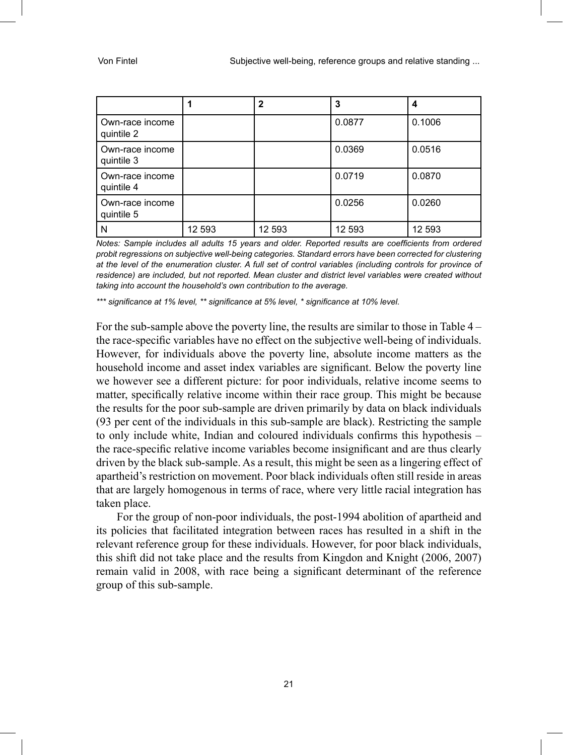|                               |        | $\mathbf{2}$ | 3      | 4      |
|-------------------------------|--------|--------------|--------|--------|
| Own-race income<br>quintile 2 |        |              | 0.0877 | 0.1006 |
| Own-race income<br>quintile 3 |        |              | 0.0369 | 0.0516 |
| Own-race income<br>quintile 4 |        |              | 0.0719 | 0.0870 |
| Own-race income<br>quintile 5 |        |              | 0.0256 | 0.0260 |
| N                             | 12 593 | 12 593       | 12 593 | 12 593 |

*Notes: Sample includes all adults 15 years and older. Reported results are coefficients from ordered probit regressions on subjective well-being categories. Standard errors have been corrected for clustering at the level of the enumeration cluster. A full set of control variables (including controls for province of residence) are included, but not reported. Mean cluster and district level variables were created without taking into account the household's own contribution to the average.* 

*\*\*\* significance at 1% level, \*\* significance at 5% level, \* significance at 10% level.*

For the sub-sample above the poverty line, the results are similar to those in Table 4 – the race-specific variables have no effect on the subjective well-being of individuals. However, for individuals above the poverty line, absolute income matters as the household income and asset index variables are significant. Below the poverty line we however see a different picture: for poor individuals, relative income seems to matter, specifically relative income within their race group. This might be because the results for the poor sub-sample are driven primarily by data on black individuals (93 per cent of the individuals in this sub-sample are black). Restricting the sample to only include white, Indian and coloured individuals confirms this hypothesis – the race-specific relative income variables become insignificant and are thus clearly driven by the black sub-sample. As a result, this might be seen as a lingering effect of apartheid's restriction on movement. Poor black individuals often still reside in areas that are largely homogenous in terms of race, where very little racial integration has taken place.

For the group of non-poor individuals, the post-1994 abolition of apartheid and its policies that facilitated integration between races has resulted in a shift in the relevant reference group for these individuals. However, for poor black individuals, this shift did not take place and the results from Kingdon and Knight (2006, 2007) remain valid in 2008, with race being a significant determinant of the reference group of this sub-sample.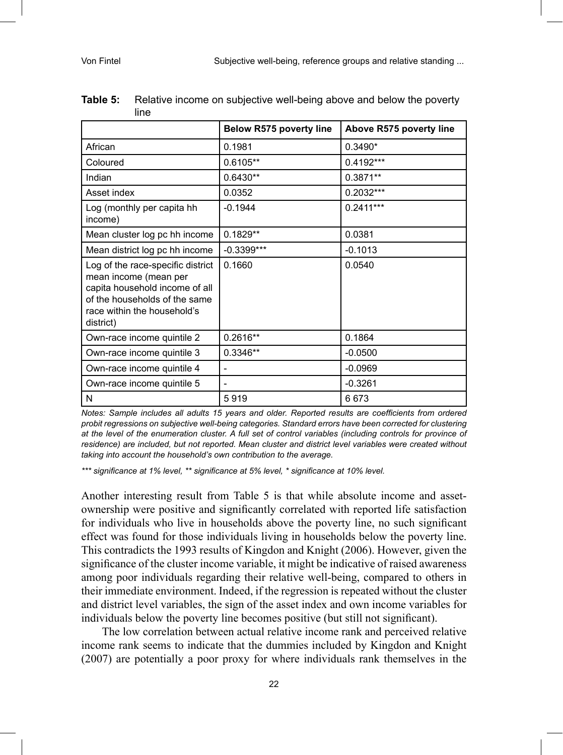|                                                                                                                                                                           | <b>Below R575 poverty line</b> | Above R575 poverty line |
|---------------------------------------------------------------------------------------------------------------------------------------------------------------------------|--------------------------------|-------------------------|
| African                                                                                                                                                                   | 0.1981                         | $0.3490*$               |
| Coloured                                                                                                                                                                  | $0.6105**$                     | 0.4192***               |
| Indian                                                                                                                                                                    | $0.6430**$                     | $0.3871**$              |
| Asset index                                                                                                                                                               | 0.0352                         | 0.2032***               |
| Log (monthly per capita hh<br>income)                                                                                                                                     | $-0.1944$                      | $0.2411***$             |
| Mean cluster log pc hh income                                                                                                                                             | $0.1829**$                     | 0.0381                  |
| Mean district log pc hh income                                                                                                                                            | $-0.3399***$                   | $-0.1013$               |
| Log of the race-specific district<br>mean income (mean per<br>capita household income of all<br>of the households of the same<br>race within the household's<br>district) | 0.1660                         | 0.0540                  |
| Own-race income quintile 2                                                                                                                                                | $0.2616**$                     | 0.1864                  |
| Own-race income quintile 3                                                                                                                                                | $0.3346**$                     | $-0.0500$               |
| Own-race income quintile 4                                                                                                                                                |                                | $-0.0969$               |
| Own-race income quintile 5                                                                                                                                                |                                | $-0.3261$               |
| N                                                                                                                                                                         | 5919                           | 6673                    |

| <b>Table 5:</b> Relative income on subjective well-being above and below the poverty |
|--------------------------------------------------------------------------------------|
| line                                                                                 |

*Notes: Sample includes all adults 15 years and older. Reported results are coefficients from ordered probit regressions on subjective well-being categories. Standard errors have been corrected for clustering at the level of the enumeration cluster. A full set of control variables (including controls for province of residence) are included, but not reported. Mean cluster and district level variables were created without taking into account the household's own contribution to the average.* 

*\*\*\* significance at 1% level, \*\* significance at 5% level, \* significance at 10% level.*

Another interesting result from Table 5 is that while absolute income and assetownership were positive and significantly correlated with reported life satisfaction for individuals who live in households above the poverty line, no such significant effect was found for those individuals living in households below the poverty line. This contradicts the 1993 results of Kingdon and Knight (2006). However, given the significance of the cluster income variable, it might be indicative of raised awareness among poor individuals regarding their relative well-being, compared to others in their immediate environment. Indeed, if the regression is repeated without the cluster and district level variables, the sign of the asset index and own income variables for individuals below the poverty line becomes positive (but still not significant).

The low correlation between actual relative income rank and perceived relative income rank seems to indicate that the dummies included by Kingdon and Knight (2007) are potentially a poor proxy for where individuals rank themselves in the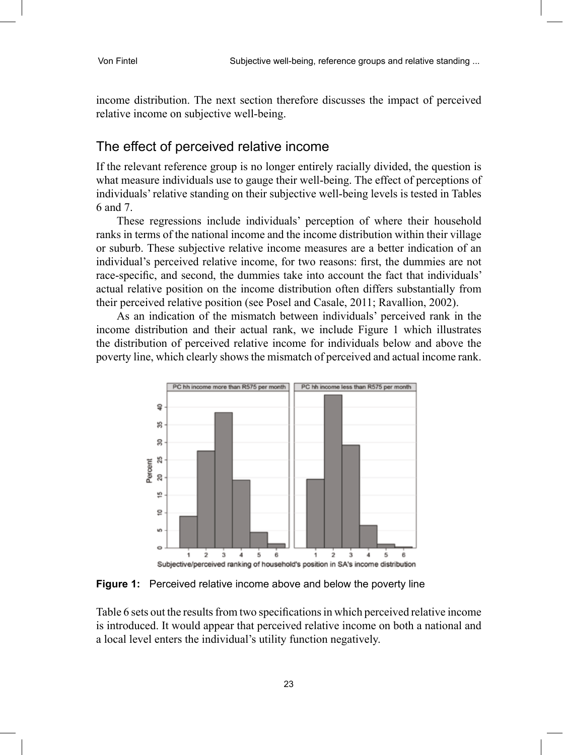income distribution. The next section therefore discusses the impact of perceived relative income on subjective well-being.

#### The effect of perceived relative income

If the relevant reference group is no longer entirely racially divided, the question is what measure individuals use to gauge their well-being. The effect of perceptions of individuals' relative standing on their subjective well-being levels is tested in Tables 6 and 7.

These regressions include individuals' perception of where their household ranks in terms of the national income and the income distribution within their village or suburb. These subjective relative income measures are a better indication of an individual's perceived relative income, for two reasons: first, the dummies are not race-specific, and second, the dummies take into account the fact that individuals' actual relative position on the income distribution often differs substantially from their perceived relative position (see Posel and Casale, 2011; Ravallion, 2002).

As an indication of the mismatch between individuals' perceived rank in the income distribution and their actual rank, we include Figure 1 which illustrates the distribution of perceived relative income for individuals below and above the poverty line, which clearly shows the mismatch of perceived and actual income rank.



**Figure 1:** Perceived relative income above and below the poverty line

Table 6 sets out the results from two specifications in which perceived relative income is introduced. It would appear that perceived relative income on both a national and a local level enters the individual's utility function negatively.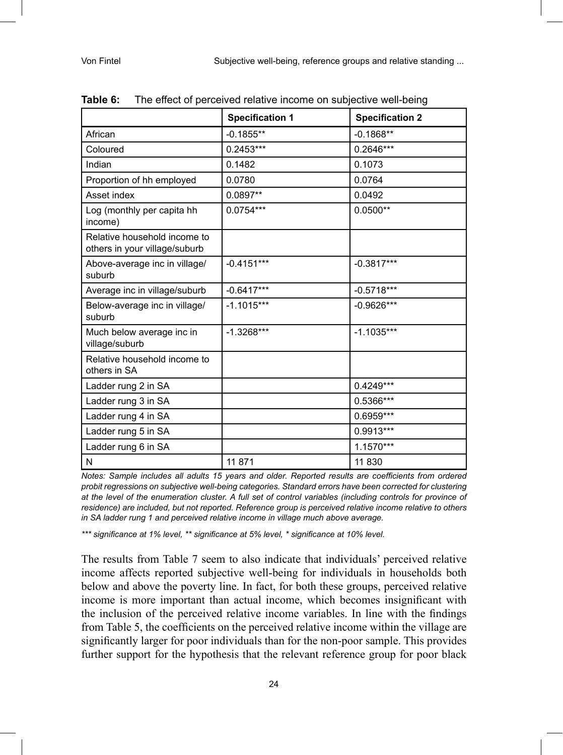|                                                               | <b>Specification 1</b> | <b>Specification 2</b> |
|---------------------------------------------------------------|------------------------|------------------------|
| African                                                       | $-0.1855**$            | $-0.1868**$            |
| Coloured                                                      | $0.2453***$            | $0.2646***$            |
| Indian                                                        | 0.1482                 | 0.1073                 |
| Proportion of hh employed                                     | 0.0780                 | 0.0764                 |
| Asset index                                                   | 0.0897**               | 0.0492                 |
| Log (monthly per capita hh<br>income)                         | $0.0754***$            | $0.0500**$             |
| Relative household income to<br>others in your village/suburb |                        |                        |
| Above-average inc in village/<br>suburb                       | $-0.4151***$           | $-0.3817***$           |
| Average inc in village/suburb                                 | $-0.6417***$           | $-0.5718***$           |
| Below-average inc in village/<br>suburb                       | $-1.1015***$           | $-0.9626***$           |
| Much below average inc in<br>village/suburb                   | $-1.3268***$           | $-1.1035***$           |
| Relative household income to<br>others in SA                  |                        |                        |
| Ladder rung 2 in SA                                           |                        | $0.4249***$            |
| Ladder rung 3 in SA                                           |                        | 0.5366***              |
| Ladder rung 4 in SA                                           |                        | $0.6959***$            |
| Ladder rung 5 in SA                                           |                        | 0.9913***              |
| Ladder rung 6 in SA                                           |                        | 1.1570***              |
| N                                                             | 11 871                 | 11 830                 |

| Table 6: | The effect of perceived relative income on subjective well-being |
|----------|------------------------------------------------------------------|
|----------|------------------------------------------------------------------|

*Notes: Sample includes all adults 15 years and older. Reported results are coefficients from ordered probit regressions on subjective well-being categories. Standard errors have been corrected for clustering at the level of the enumeration cluster. A full set of control variables (including controls for province of residence) are included, but not reported. Reference group is perceived relative income relative to others in SA ladder rung 1 and perceived relative income in village much above average.* 

*\*\*\* significance at 1% level, \*\* significance at 5% level, \* significance at 10% level.*

The results from Table 7 seem to also indicate that individuals' perceived relative income affects reported subjective well-being for individuals in households both below and above the poverty line. In fact, for both these groups, perceived relative income is more important than actual income, which becomes insignificant with the inclusion of the perceived relative income variables. In line with the findings from Table 5, the coefficients on the perceived relative income within the village are significantly larger for poor individuals than for the non-poor sample. This provides further support for the hypothesis that the relevant reference group for poor black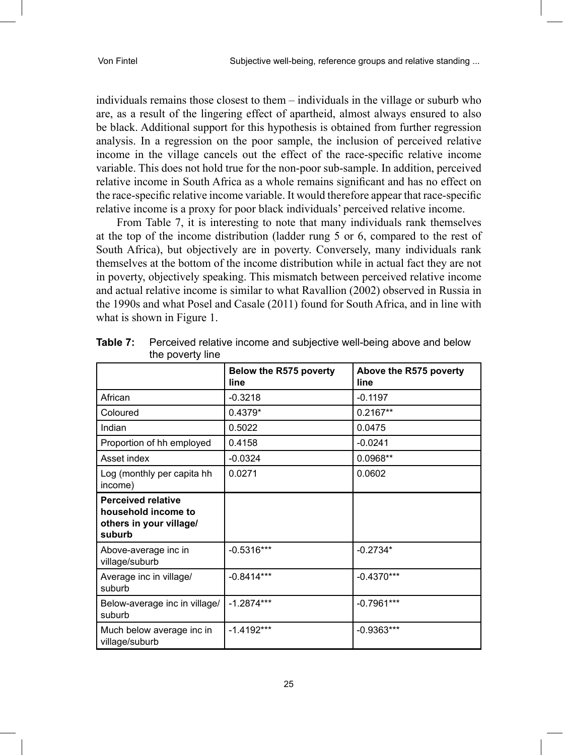individuals remains those closest to them – individuals in the village or suburb who are, as a result of the lingering effect of apartheid, almost always ensured to also be black. Additional support for this hypothesis is obtained from further regression analysis. In a regression on the poor sample, the inclusion of perceived relative income in the village cancels out the effect of the race-specific relative income variable. This does not hold true for the non-poor sub-sample. In addition, perceived relative income in South Africa as a whole remains significant and has no effect on the race-specific relative income variable. It would therefore appear that race-specific relative income is a proxy for poor black individuals' perceived relative income.

From Table 7, it is interesting to note that many individuals rank themselves at the top of the income distribution (ladder rung 5 or 6, compared to the rest of South Africa), but objectively are in poverty. Conversely, many individuals rank themselves at the bottom of the income distribution while in actual fact they are not in poverty, objectively speaking. This mismatch between perceived relative income and actual relative income is similar to what Ravallion (2002) observed in Russia in the 1990s and what Posel and Casale (2011) found for South Africa, and in line with what is shown in Figure 1.

|                                                                                       | Below the R575 poverty<br>line | Above the R575 poverty<br>line |
|---------------------------------------------------------------------------------------|--------------------------------|--------------------------------|
| African                                                                               | $-0.3218$                      | $-0.1197$                      |
| Coloured                                                                              | $0.4379*$                      | $0.2167**$                     |
| Indian                                                                                | 0.5022                         | 0.0475                         |
| Proportion of hh employed                                                             | 0.4158                         | $-0.0241$                      |
| Asset index                                                                           | $-0.0324$                      | 0.0968**                       |
| Log (monthly per capita hh<br>income)                                                 | 0.0271                         | 0.0602                         |
| <b>Perceived relative</b><br>household income to<br>others in your village/<br>suburb |                                |                                |
| Above-average inc in<br>village/suburb                                                | $-0.5316***$                   | $-0.2734*$                     |
| Average inc in village/<br>suburb                                                     | $-0.8414***$                   | $-0.4370***$                   |
| Below-average inc in village/<br>suburb                                               | $-1.2874***$                   | $-0.7961***$                   |
| Much below average inc in<br>village/suburb                                           | $-1.4192***$                   | $-0.9363***$                   |

**Table 7:** Perceived relative income and subjective well-being above and below the poverty line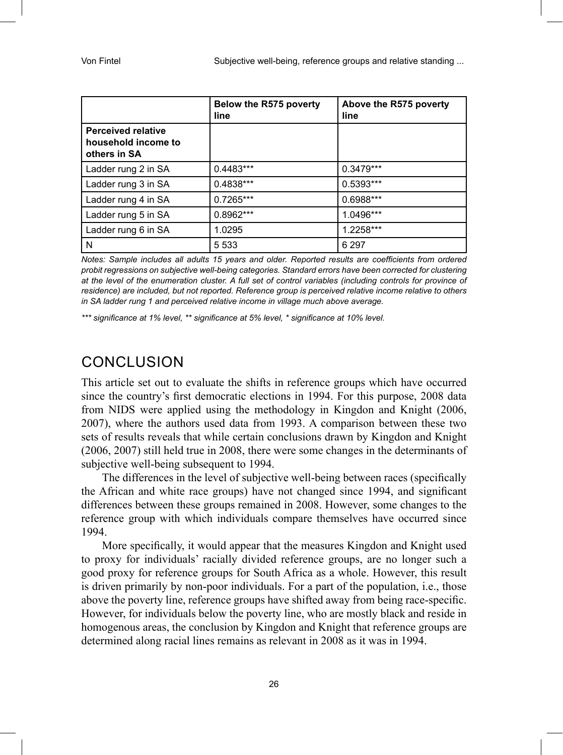|                                                                  | Below the R575 poverty<br>line | Above the R575 poverty<br>line |
|------------------------------------------------------------------|--------------------------------|--------------------------------|
| <b>Perceived relative</b><br>household income to<br>others in SA |                                |                                |
| Ladder rung 2 in SA                                              | $0.4483***$                    | $0.3479***$                    |
| Ladder rung 3 in SA                                              | 0.4838***                      | $0.5393***$                    |
| Ladder rung 4 in SA                                              | $0.7265***$                    | 0.6988***                      |
| Ladder rung 5 in SA                                              | $0.8962***$                    | 1.0496***                      |
| Ladder rung 6 in SA                                              | 1.0295                         | 1.2258***                      |
| N                                                                | 5 5 3 3                        | 6 2 9 7                        |

*Notes: Sample includes all adults 15 years and older. Reported results are coefficients from ordered probit regressions on subjective well-being categories. Standard errors have been corrected for clustering at the level of the enumeration cluster. A full set of control variables (including controls for province of residence) are included, but not reported. Reference group is perceived relative income relative to others in SA ladder rung 1 and perceived relative income in village much above average.* 

*\*\*\* significance at 1% level, \*\* significance at 5% level, \* significance at 10% level.*

### CONCLUSION

This article set out to evaluate the shifts in reference groups which have occurred since the country's first democratic elections in 1994. For this purpose, 2008 data from NIDS were applied using the methodology in Kingdon and Knight (2006, 2007), where the authors used data from 1993. A comparison between these two sets of results reveals that while certain conclusions drawn by Kingdon and Knight (2006, 2007) still held true in 2008, there were some changes in the determinants of subjective well-being subsequent to 1994.

The differences in the level of subjective well-being between races (specifically the African and white race groups) have not changed since 1994, and significant differences between these groups remained in 2008. However, some changes to the reference group with which individuals compare themselves have occurred since 1994.

More specifically, it would appear that the measures Kingdon and Knight used to proxy for individuals' racially divided reference groups, are no longer such a good proxy for reference groups for South Africa as a whole. However, this result is driven primarily by non-poor individuals. For a part of the population, i.e., those above the poverty line, reference groups have shifted away from being race-specific. However, for individuals below the poverty line, who are mostly black and reside in homogenous areas, the conclusion by Kingdon and Knight that reference groups are determined along racial lines remains as relevant in 2008 as it was in 1994.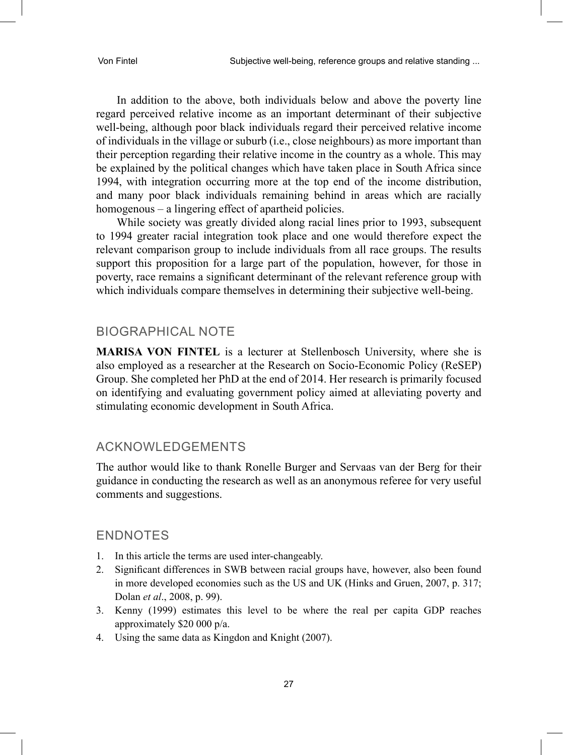In addition to the above, both individuals below and above the poverty line regard perceived relative income as an important determinant of their subjective well-being, although poor black individuals regard their perceived relative income of individuals in the village or suburb (i.e., close neighbours) as more important than their perception regarding their relative income in the country as a whole. This may be explained by the political changes which have taken place in South Africa since 1994, with integration occurring more at the top end of the income distribution, and many poor black individuals remaining behind in areas which are racially homogenous – a lingering effect of apartheid policies.

While society was greatly divided along racial lines prior to 1993, subsequent to 1994 greater racial integration took place and one would therefore expect the relevant comparison group to include individuals from all race groups. The results support this proposition for a large part of the population, however, for those in poverty, race remains a significant determinant of the relevant reference group with which individuals compare themselves in determining their subjective well-being.

#### BIOGRAPHICAL NOTE

**MARISA VON FINTEL** is a lecturer at Stellenbosch University, where she is also employed as a researcher at the Research on Socio-Economic Policy (ReSEP) Group. She completed her PhD at the end of 2014. Her research is primarily focused on identifying and evaluating government policy aimed at alleviating poverty and stimulating economic development in South Africa.

#### ACKNOWLEDGEMENTS

The author would like to thank Ronelle Burger and Servaas van der Berg for their guidance in conducting the research as well as an anonymous referee for very useful comments and suggestions.

#### ENDNOTES

- 1. In this article the terms are used inter-changeably.
- 2. Significant differences in SWB between racial groups have, however, also been found in more developed economies such as the US and UK (Hinks and Gruen, 2007, p. 317; Dolan *et al*., 2008, p. 99).
- 3. Kenny (1999) estimates this level to be where the real per capita GDP reaches approximately \$20 000 p/a.
- 4. Using the same data as Kingdon and Knight (2007).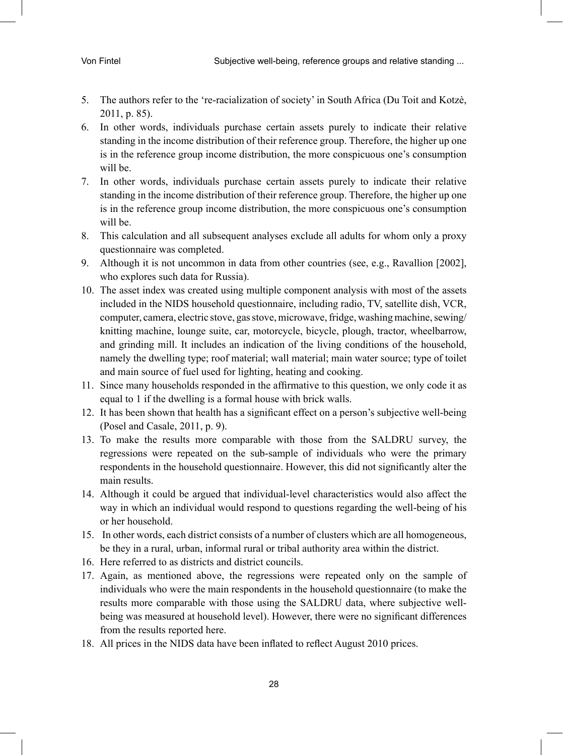- 5. The authors refer to the 're-racialization of society' in South Africa (Du Toit and Kotzè, 2011, p. 85).
- 6. In other words, individuals purchase certain assets purely to indicate their relative standing in the income distribution of their reference group. Therefore, the higher up one is in the reference group income distribution, the more conspicuous one's consumption will be.
- 7. In other words, individuals purchase certain assets purely to indicate their relative standing in the income distribution of their reference group. Therefore, the higher up one is in the reference group income distribution, the more conspicuous one's consumption will be.
- 8. This calculation and all subsequent analyses exclude all adults for whom only a proxy questionnaire was completed.
- 9. Although it is not uncommon in data from other countries (see, e.g., Ravallion [2002], who explores such data for Russia).
- 10. The asset index was created using multiple component analysis with most of the assets included in the NIDS household questionnaire, including radio, TV, satellite dish, VCR, computer, camera, electric stove, gas stove, microwave, fridge, washing machine, sewing/ knitting machine, lounge suite, car, motorcycle, bicycle, plough, tractor, wheelbarrow, and grinding mill. It includes an indication of the living conditions of the household, namely the dwelling type; roof material; wall material; main water source; type of toilet and main source of fuel used for lighting, heating and cooking.
- 11. Since many households responded in the affirmative to this question, we only code it as equal to 1 if the dwelling is a formal house with brick walls.
- 12. It has been shown that health has a significant effect on a person's subjective well-being (Posel and Casale, 2011, p. 9).
- 13. To make the results more comparable with those from the SALDRU survey, the regressions were repeated on the sub-sample of individuals who were the primary respondents in the household questionnaire. However, this did not significantly alter the main results.
- 14. Although it could be argued that individual-level characteristics would also affect the way in which an individual would respond to questions regarding the well-being of his or her household.
- 15. In other words, each district consists of a number of clusters which are all homogeneous, be they in a rural, urban, informal rural or tribal authority area within the district.
- 16. Here referred to as districts and district councils.
- 17. Again, as mentioned above, the regressions were repeated only on the sample of individuals who were the main respondents in the household questionnaire (to make the results more comparable with those using the SALDRU data, where subjective wellbeing was measured at household level). However, there were no significant differences from the results reported here.
- 18. All prices in the NIDS data have been inflated to reflect August 2010 prices.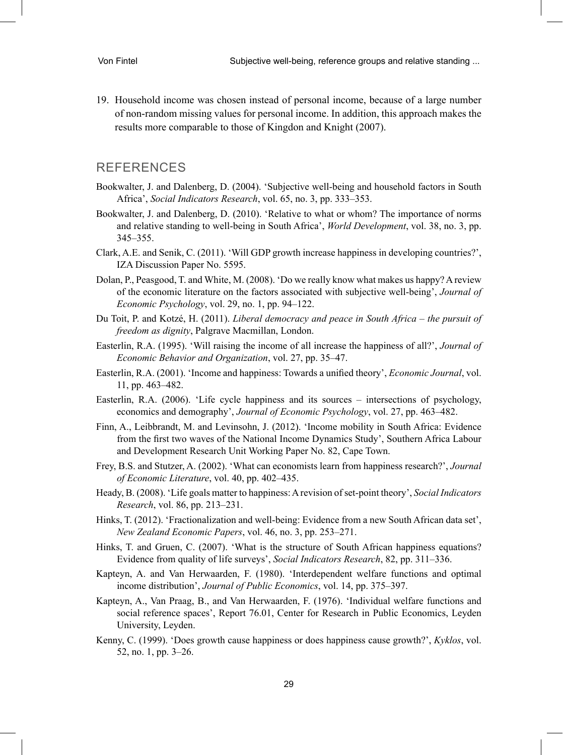19. Household income was chosen instead of personal income, because of a large number of non-random missing values for personal income. In addition, this approach makes the results more comparable to those of Kingdon and Knight (2007).

#### REFERENCES

- Bookwalter, J. and Dalenberg, D. (2004). 'Subjective well-being and household factors in South Africa', *Social Indicators Research*, vol. 65, no. 3, pp. 333–353.
- Bookwalter, J. and Dalenberg, D. (2010). 'Relative to what or whom? The importance of norms and relative standing to well-being in South Africa', *World Development*, vol. 38, no. 3, pp. 345–355.
- Clark, A.E. and Senik, C. (2011). 'Will GDP growth increase happiness in developing countries?', IZA Discussion Paper No. 5595.
- Dolan, P., Peasgood, T. and White, M. (2008). 'Do we really know what makes us happy? A review of the economic literature on the factors associated with subjective well-being', *Journal of Economic Psychology*, vol. 29, no. 1, pp. 94–122.
- Du Toit, P. and Kotzé, H. (2011). *Liberal democracy and peace in South Africa the pursuit of freedom as dignity*, Palgrave Macmillan, London.
- Easterlin, R.A. (1995). 'Will raising the income of all increase the happiness of all?', *Journal of Economic Behavior and Organization*, vol. 27, pp. 35–47.
- Easterlin, R.A. (2001). 'Income and happiness: Towards a unified theory', *Economic Journal*, vol. 11, pp. 463–482.
- Easterlin, R.A. (2006). 'Life cycle happiness and its sources intersections of psychology, economics and demography', *Journal of Economic Psychology*, vol. 27, pp. 463–482.
- Finn, A., Leibbrandt, M. and Levinsohn, J. (2012). 'Income mobility in South Africa: Evidence from the first two waves of the National Income Dynamics Study', Southern Africa Labour and Development Research Unit Working Paper No. 82, Cape Town.
- Frey, B.S. and Stutzer, A. (2002). 'What can economists learn from happiness research?', *Journal of Economic Literature*, vol. 40, pp. 402–435.
- Heady, B. (2008). 'Life goals matter to happiness: A revision of set-point theory', *Social Indicators Research*, vol. 86, pp. 213–231.
- Hinks, T. (2012). 'Fractionalization and well-being: Evidence from a new South African data set', *New Zealand Economic Papers*, vol. 46, no. 3, pp. 253–271.
- Hinks, T. and Gruen, C. (2007). 'What is the structure of South African happiness equations? Evidence from quality of life surveys', *Social Indicators Research*, 82, pp. 311–336.
- Kapteyn, A. and Van Herwaarden, F. (1980). 'Interdependent welfare functions and optimal income distribution', *Journal of Public Economics*, vol. 14, pp. 375–397.
- Kapteyn, A., Van Praag, B., and Van Herwaarden, F. (1976). 'Individual welfare functions and social reference spaces', Report 76.01, Center for Research in Public Economics, Leyden University, Leyden.
- Kenny, C. (1999). 'Does growth cause happiness or does happiness cause growth?', *Kyklos*, vol. 52, no. 1, pp. 3–26.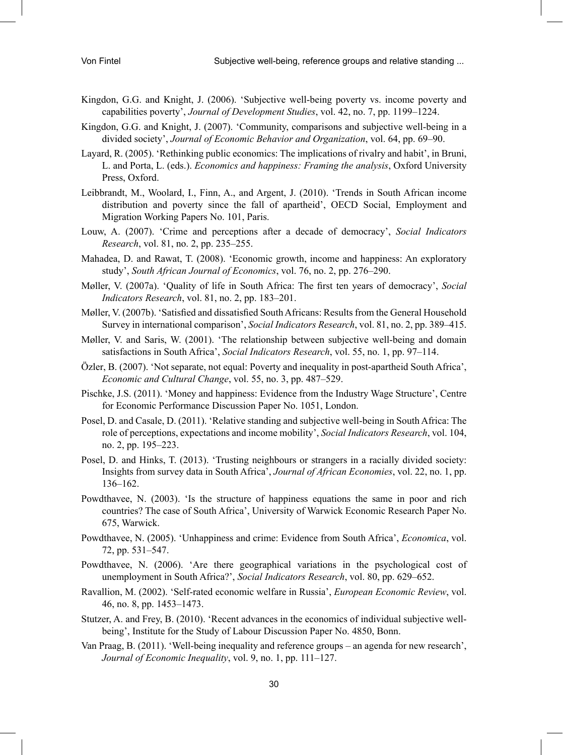- Kingdon, G.G. and Knight, J. (2006). 'Subjective well-being poverty vs. income poverty and capabilities poverty', *Journal of Development Studies*, vol. 42, no. 7, pp. 1199–1224.
- Kingdon, G.G. and Knight, J. (2007). 'Community, comparisons and subjective well-being in a divided society', *Journal of Economic Behavior and Organization*, vol. 64, pp. 69–90.
- Layard, R. (2005). 'Rethinking public economics: The implications of rivalry and habit', in Bruni, L. and Porta, L. (eds.). *Economics and happiness: Framing the analysis*, Oxford University Press, Oxford.
- Leibbrandt, M., Woolard, I., Finn, A., and Argent, J. (2010). 'Trends in South African income distribution and poverty since the fall of apartheid', OECD Social, Employment and Migration Working Papers No. 101, Paris.
- Louw, A. (2007). 'Crime and perceptions after a decade of democracy', *Social Indicators Research*, vol. 81, no. 2, pp. 235–255.
- Mahadea, D. and Rawat, T. (2008). 'Economic growth, income and happiness: An exploratory study', *South African Journal of Economics*, vol. 76, no. 2, pp. 276–290.
- Møller, V. (2007a). 'Quality of life in South Africa: The first ten years of democracy', *Social Indicators Research*, vol. 81, no. 2, pp. 183–201.
- Møller, V. (2007b). 'Satisfied and dissatisfied South Africans: Results from the General Household Survey in international comparison', *Social Indicators Research*, vol. 81, no. 2, pp. 389–415.
- Møller, V. and Saris, W. (2001). 'The relationship between subjective well-being and domain satisfactions in South Africa', *Social Indicators Research*, vol. 55, no. 1, pp. 97–114.
- Özler, B. (2007). 'Not separate, not equal: Poverty and inequality in post-apartheid South Africa', *Economic and Cultural Change*, vol. 55, no. 3, pp. 487–529.
- Pischke, J.S. (2011). 'Money and happiness: Evidence from the Industry Wage Structure', Centre for Economic Performance Discussion Paper No. 1051, London.
- Posel, D. and Casale, D. (2011). 'Relative standing and subjective well-being in South Africa: The role of perceptions, expectations and income mobility', *Social Indicators Research*, vol. 104, no. 2, pp. 195–223.
- Posel, D. and Hinks, T. (2013). 'Trusting neighbours or strangers in a racially divided society: Insights from survey data in South Africa', *Journal of African Economies*, vol. 22, no. 1, pp. 136–162.
- Powdthavee, N. (2003). 'Is the structure of happiness equations the same in poor and rich countries? The case of South Africa', University of Warwick Economic Research Paper No. 675, Warwick.
- Powdthavee, N. (2005). 'Unhappiness and crime: Evidence from South Africa', *Economica*, vol. 72, pp. 531–547.
- Powdthavee, N. (2006). 'Are there geographical variations in the psychological cost of unemployment in South Africa?', *Social Indicators Research*, vol. 80, pp. 629–652.
- Ravallion, M. (2002). 'Self-rated economic welfare in Russia', *European Economic Review*, vol. 46, no. 8, pp. 1453–1473.
- Stutzer, A. and Frey, B. (2010). 'Recent advances in the economics of individual subjective wellbeing', Institute for the Study of Labour Discussion Paper No. 4850, Bonn.
- Van Praag, B. (2011). 'Well-being inequality and reference groups an agenda for new research', *Journal of Economic Inequality*, vol. 9, no. 1, pp. 111–127.